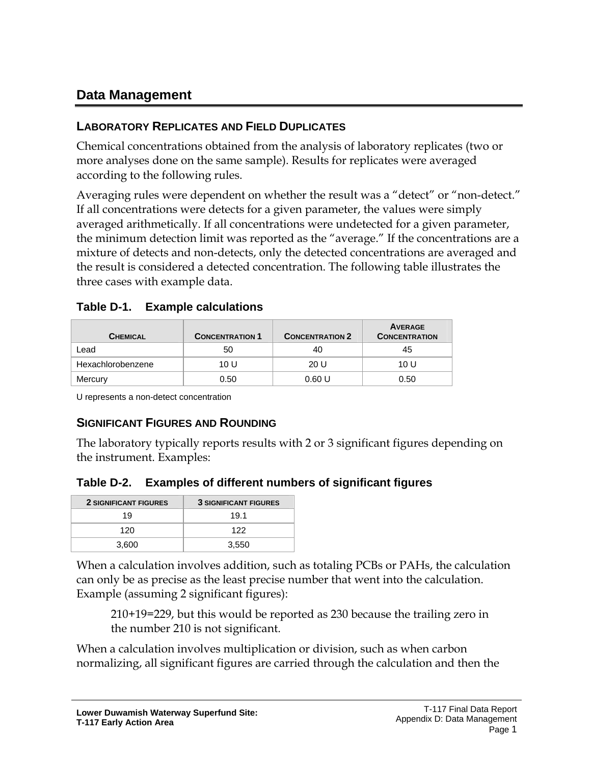# **Data Management**

### **LABORATORY REPLICATES AND FIELD DUPLICATES**

Chemical concentrations obtained from the analysis of laboratory replicates (two or more analyses done on the same sample). Results for replicates were averaged according to the following rules.

Averaging rules were dependent on whether the result was a "detect" or "non-detect." If all concentrations were detects for a given parameter, the values were simply averaged arithmetically. If all concentrations were undetected for a given parameter, the minimum detection limit was reported as the "average." If the concentrations are a mixture of detects and non-detects, only the detected concentrations are averaged and the result is considered a detected concentration. The following table illustrates the three cases with example data.

| <b>CHEMICAL</b>   | <b>CONCENTRATION 1</b> | <b>CONCENTRATION 2</b> | <b>AVERAGE</b><br><b>CONCENTRATION</b> |
|-------------------|------------------------|------------------------|----------------------------------------|
| Lead              | 50                     | 40                     | 45                                     |
| Hexachlorobenzene | 10 U                   | 20 U                   | 10 U                                   |
| Mercury           | 0.50                   | 0.60 U                 | 0.50                                   |

#### **Table D-1. Example calculations**

U represents a non-detect concentration

## **SIGNIFICANT FIGURES AND ROUNDING**

The laboratory typically reports results with 2 or 3 significant figures depending on the instrument. Examples:

#### **Table D-2. Examples of different numbers of significant figures**

| <b>2 SIGNIFICANT FIGURES</b> | <b>3 SIGNIFICANT FIGURES</b> |  |
|------------------------------|------------------------------|--|
| 19                           | 19.1                         |  |
| 120                          | 122                          |  |
| 3,600                        | 3,550                        |  |

When a calculation involves addition, such as totaling PCBs or PAHs, the calculation can only be as precise as the least precise number that went into the calculation. Example (assuming 2 significant figures):

210+19=229, but this would be reported as 230 because the trailing zero in the number 210 is not significant.

When a calculation involves multiplication or division, such as when carbon normalizing, all significant figures are carried through the calculation and then the